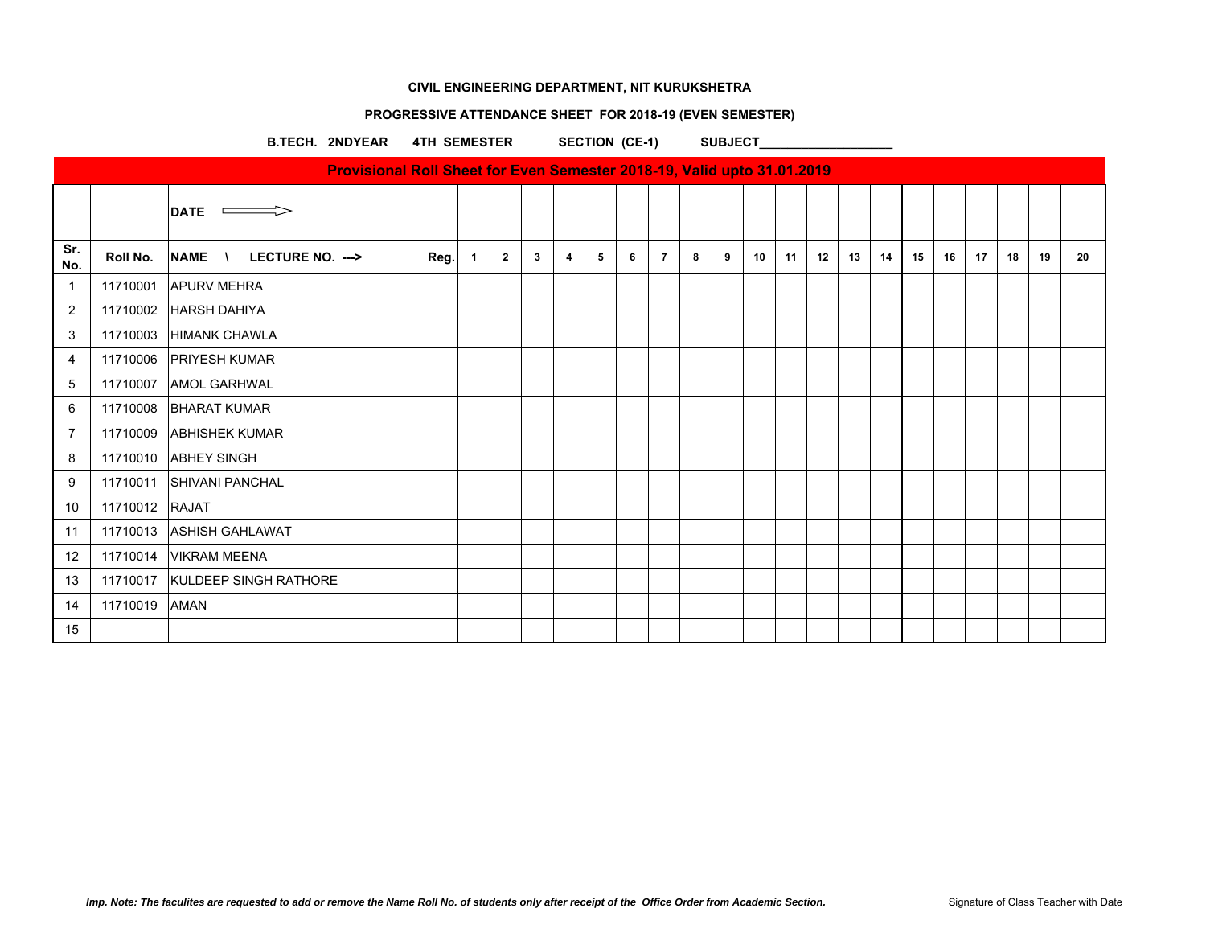## **PROGRESSIVE ATTENDANCE SHEET FOR 2018-19 (EVEN SEMESTER)**

B.TECH. 2NDYEAR 4TH SEMESTER SECTION (CE-1) SUBJECT

|                |                | DATE $\implies$                  |      |              |                |              |   |   |   |                |   |   |    |    |    |    |    |    |    |    |    |    |    |
|----------------|----------------|----------------------------------|------|--------------|----------------|--------------|---|---|---|----------------|---|---|----|----|----|----|----|----|----|----|----|----|----|
| Sr.<br>No.     | Roll No.       | NAME \ LECTURE NO. --->          | Reg. | $\mathbf{1}$ | $\overline{2}$ | $\mathbf{3}$ | 4 | 5 | 6 | $\overline{7}$ | 8 | 9 | 10 | 11 | 12 | 13 | 14 | 15 | 16 | 17 | 18 | 19 | 20 |
| -1             | 11710001       | <b>APURV MEHRA</b>               |      |              |                |              |   |   |   |                |   |   |    |    |    |    |    |    |    |    |    |    |    |
| $\overline{2}$ |                | 11710002 HARSH DAHIYA            |      |              |                |              |   |   |   |                |   |   |    |    |    |    |    |    |    |    |    |    |    |
| 3              | 11710003       | <b>HIMANK CHAWLA</b>             |      |              |                |              |   |   |   |                |   |   |    |    |    |    |    |    |    |    |    |    |    |
| 4              |                | 11710006 PRIYESH KUMAR           |      |              |                |              |   |   |   |                |   |   |    |    |    |    |    |    |    |    |    |    |    |
| 5              | 11710007       | <b>AMOL GARHWAL</b>              |      |              |                |              |   |   |   |                |   |   |    |    |    |    |    |    |    |    |    |    |    |
| 6              | 11710008       | <b>BHARAT KUMAR</b>              |      |              |                |              |   |   |   |                |   |   |    |    |    |    |    |    |    |    |    |    |    |
| $\overline{7}$ | 11710009       | <b>ABHISHEK KUMAR</b>            |      |              |                |              |   |   |   |                |   |   |    |    |    |    |    |    |    |    |    |    |    |
| 8              |                | 11710010 ABHEY SINGH             |      |              |                |              |   |   |   |                |   |   |    |    |    |    |    |    |    |    |    |    |    |
| 9              | 11710011       | <b>SHIVANI PANCHAL</b>           |      |              |                |              |   |   |   |                |   |   |    |    |    |    |    |    |    |    |    |    |    |
| 10             | 11710012 RAJAT |                                  |      |              |                |              |   |   |   |                |   |   |    |    |    |    |    |    |    |    |    |    |    |
| 11             |                | 11710013 ASHISH GAHLAWAT         |      |              |                |              |   |   |   |                |   |   |    |    |    |    |    |    |    |    |    |    |    |
| 12             | 11710014       | <b>VIKRAM MEENA</b>              |      |              |                |              |   |   |   |                |   |   |    |    |    |    |    |    |    |    |    |    |    |
| 13             |                | 11710017   KULDEEP SINGH RATHORE |      |              |                |              |   |   |   |                |   |   |    |    |    |    |    |    |    |    |    |    |    |
| 14             | 11710019 AMAN  |                                  |      |              |                |              |   |   |   |                |   |   |    |    |    |    |    |    |    |    |    |    |    |
| 15             |                |                                  |      |              |                |              |   |   |   |                |   |   |    |    |    |    |    |    |    |    |    |    |    |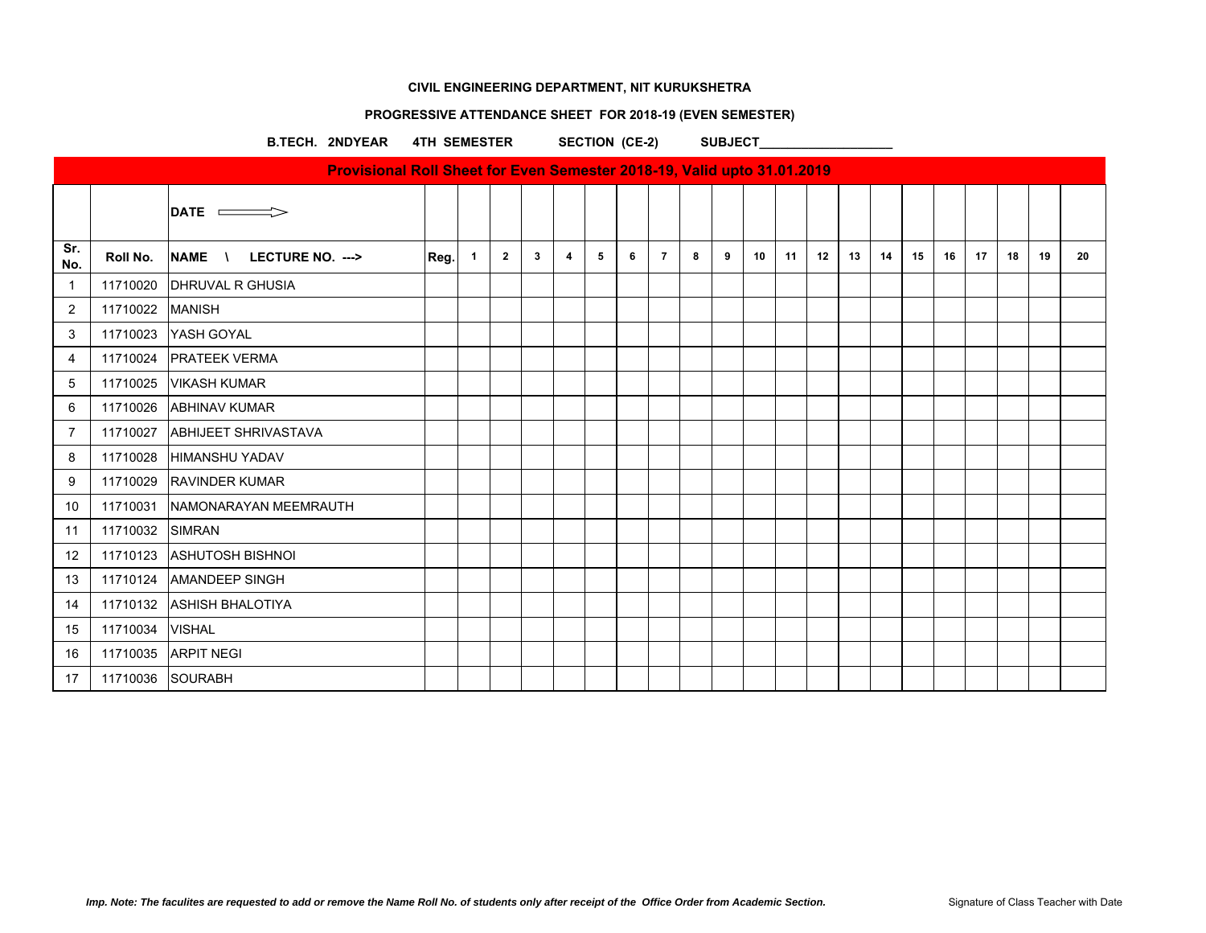## **PROGRESSIVE ATTENDANCE SHEET FOR 2018-19 (EVEN SEMESTER)**

B.TECH. 2NDYEAR 4TH SEMESTER SECTION (CE-2) SUBJECT

|                |                  | DATE $\implies$             |      |              |                |              |   |   |   |                |   |   |    |    |    |    |    |    |    |    |    |    |    |
|----------------|------------------|-----------------------------|------|--------------|----------------|--------------|---|---|---|----------------|---|---|----|----|----|----|----|----|----|----|----|----|----|
| Sr.<br>No.     | Roll No.         | NAME \ LECTURE NO. --->     | Reg. | $\mathbf{1}$ | $\overline{2}$ | $\mathbf{3}$ | 4 | 5 | 6 | $\overline{7}$ | 8 | 9 | 10 | 11 | 12 | 13 | 14 | 15 | 16 | 17 | 18 | 19 | 20 |
| -1             |                  | 11710020 DHRUVAL R GHUSIA   |      |              |                |              |   |   |   |                |   |   |    |    |    |    |    |    |    |    |    |    |    |
| 2              | 11710022 MANISH  |                             |      |              |                |              |   |   |   |                |   |   |    |    |    |    |    |    |    |    |    |    |    |
| 3              | 11710023         | YASH GOYAL                  |      |              |                |              |   |   |   |                |   |   |    |    |    |    |    |    |    |    |    |    |    |
| 4              |                  | 11710024   PRATEEK VERMA    |      |              |                |              |   |   |   |                |   |   |    |    |    |    |    |    |    |    |    |    |    |
| 5              |                  | 11710025 VIKASH KUMAR       |      |              |                |              |   |   |   |                |   |   |    |    |    |    |    |    |    |    |    |    |    |
| 6              | 11710026         | <b>ABHINAV KUMAR</b>        |      |              |                |              |   |   |   |                |   |   |    |    |    |    |    |    |    |    |    |    |    |
| $\overline{7}$ | 11710027         | <b>ABHIJEET SHRIVASTAVA</b> |      |              |                |              |   |   |   |                |   |   |    |    |    |    |    |    |    |    |    |    |    |
| 8              | 11710028         | <b>HIMANSHU YADAV</b>       |      |              |                |              |   |   |   |                |   |   |    |    |    |    |    |    |    |    |    |    |    |
| 9              |                  | 11710029 RAVINDER KUMAR     |      |              |                |              |   |   |   |                |   |   |    |    |    |    |    |    |    |    |    |    |    |
| 10             | 11710031         | NAMONARAYAN MEEMRAUTH       |      |              |                |              |   |   |   |                |   |   |    |    |    |    |    |    |    |    |    |    |    |
| 11             | 11710032         | <b>SIMRAN</b>               |      |              |                |              |   |   |   |                |   |   |    |    |    |    |    |    |    |    |    |    |    |
| 12             |                  | 11710123 ASHUTOSH BISHNOI   |      |              |                |              |   |   |   |                |   |   |    |    |    |    |    |    |    |    |    |    |    |
| 13             |                  | 11710124 AMANDEEP SINGH     |      |              |                |              |   |   |   |                |   |   |    |    |    |    |    |    |    |    |    |    |    |
| 14             |                  | 11710132 ASHISH BHALOTIYA   |      |              |                |              |   |   |   |                |   |   |    |    |    |    |    |    |    |    |    |    |    |
| 15             | 11710034         | <b>VISHAL</b>               |      |              |                |              |   |   |   |                |   |   |    |    |    |    |    |    |    |    |    |    |    |
| 16             | 11710035         | <b>ARPIT NEGI</b>           |      |              |                |              |   |   |   |                |   |   |    |    |    |    |    |    |    |    |    |    |    |
| 17             | 11710036 SOURABH |                             |      |              |                |              |   |   |   |                |   |   |    |    |    |    |    |    |    |    |    |    |    |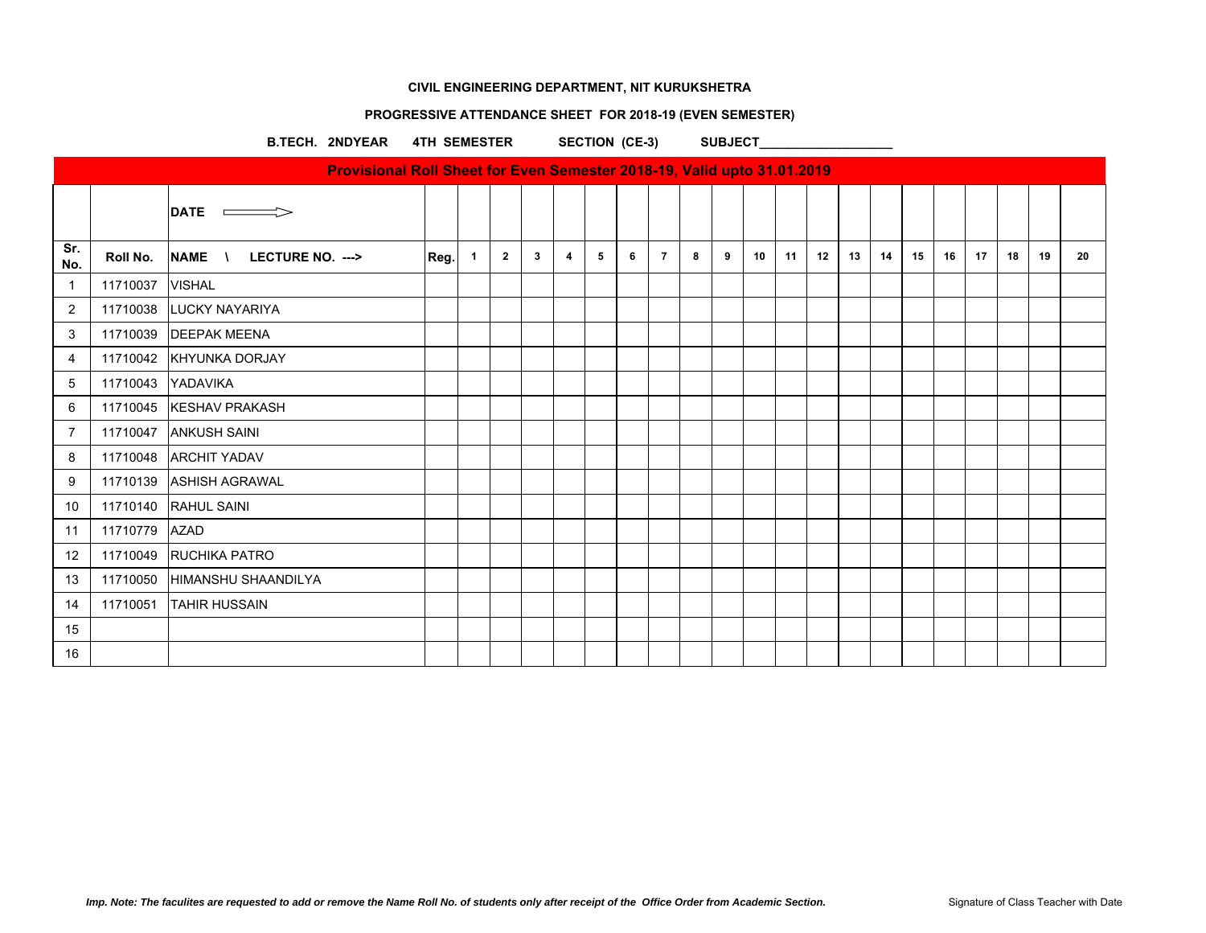## **PROGRESSIVE ATTENDANCE SHEET FOR 2018-19 (EVEN SEMESTER)**

B.TECH. 2NDYEAR 4TH SEMESTER SECTION (CE-3) SUBJECT

|                |          | $\mathsf{DATE}$ $\longrightarrow$ |      |              |                |              |                         |   |   |                |   |   |    |    |    |    |    |    |    |    |    |    |    |
|----------------|----------|-----------------------------------|------|--------------|----------------|--------------|-------------------------|---|---|----------------|---|---|----|----|----|----|----|----|----|----|----|----|----|
| Sr.<br>No.     | Roll No. | NAME \ LECTURE NO. --->           | Reg. | $\mathbf{1}$ | $\overline{2}$ | $\mathbf{3}$ | $\overline{\mathbf{4}}$ | 5 | 6 | $\overline{7}$ | 8 | 9 | 10 | 11 | 12 | 13 | 14 | 15 | 16 | 17 | 18 | 19 | 20 |
| $\overline{1}$ | 11710037 | <b>VISHAL</b>                     |      |              |                |              |                         |   |   |                |   |   |    |    |    |    |    |    |    |    |    |    |    |
| $\overline{2}$ |          | 11710038 LUCKY NAYARIYA           |      |              |                |              |                         |   |   |                |   |   |    |    |    |    |    |    |    |    |    |    |    |
| 3              |          | 11710039   DEEPAK MEENA           |      |              |                |              |                         |   |   |                |   |   |    |    |    |    |    |    |    |    |    |    |    |
| 4              |          | 11710042 KHYUNKA DORJAY           |      |              |                |              |                         |   |   |                |   |   |    |    |    |    |    |    |    |    |    |    |    |
| 5              | 11710043 | YADAVIKA                          |      |              |                |              |                         |   |   |                |   |   |    |    |    |    |    |    |    |    |    |    |    |
| 6              |          | 11710045   KESHAV PRAKASH         |      |              |                |              |                         |   |   |                |   |   |    |    |    |    |    |    |    |    |    |    |    |
| $\overline{7}$ | 11710047 | <b>ANKUSH SAINI</b>               |      |              |                |              |                         |   |   |                |   |   |    |    |    |    |    |    |    |    |    |    |    |
| 8              | 11710048 | <b>ARCHIT YADAV</b>               |      |              |                |              |                         |   |   |                |   |   |    |    |    |    |    |    |    |    |    |    |    |
| 9              |          | 11710139 ASHISH AGRAWAL           |      |              |                |              |                         |   |   |                |   |   |    |    |    |    |    |    |    |    |    |    |    |
| 10             |          | 11710140 RAHUL SAINI              |      |              |                |              |                         |   |   |                |   |   |    |    |    |    |    |    |    |    |    |    |    |
| 11             | 11710779 | <b>AZAD</b>                       |      |              |                |              |                         |   |   |                |   |   |    |    |    |    |    |    |    |    |    |    |    |
| 12             | 11710049 | <b>RUCHIKA PATRO</b>              |      |              |                |              |                         |   |   |                |   |   |    |    |    |    |    |    |    |    |    |    |    |
| 13             | 11710050 | <b>HIMANSHU SHAANDILYA</b>        |      |              |                |              |                         |   |   |                |   |   |    |    |    |    |    |    |    |    |    |    |    |
| 14             | 11710051 | <b>TAHIR HUSSAIN</b>              |      |              |                |              |                         |   |   |                |   |   |    |    |    |    |    |    |    |    |    |    |    |
| 15             |          |                                   |      |              |                |              |                         |   |   |                |   |   |    |    |    |    |    |    |    |    |    |    |    |
| 16             |          |                                   |      |              |                |              |                         |   |   |                |   |   |    |    |    |    |    |    |    |    |    |    |    |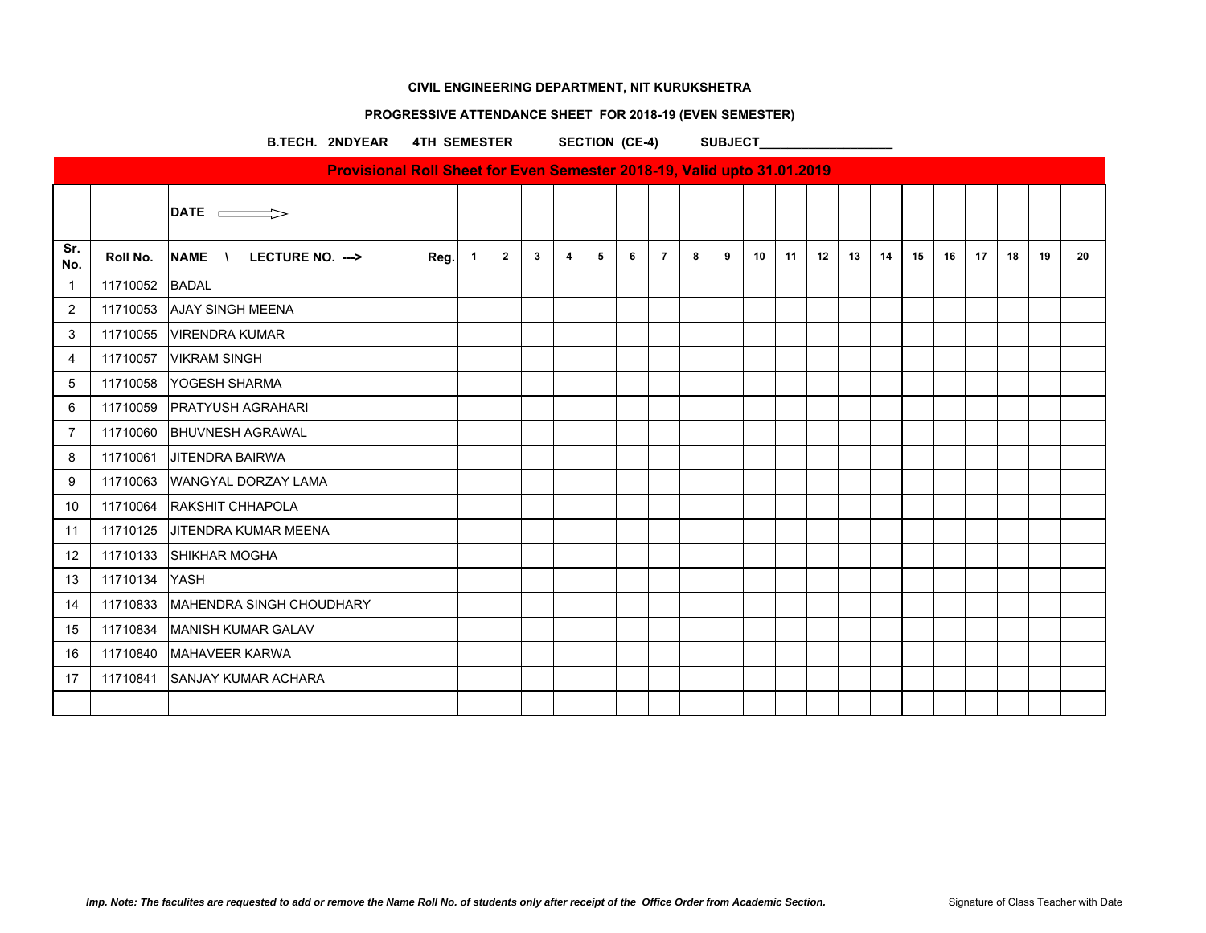## **PROGRESSIVE ATTENDANCE SHEET FOR 2018-19 (EVEN SEMESTER)**

B.TECH. 2NDYEAR 4TH SEMESTER SECTION (CE-4) SUBJECT

|                |          | $\mathsf{DATE} \equiv \Rightarrow$  |      |              |                |              |                         |   |   |                |   |   |                 |    |    |    |    |    |    |    |    |    |    |
|----------------|----------|-------------------------------------|------|--------------|----------------|--------------|-------------------------|---|---|----------------|---|---|-----------------|----|----|----|----|----|----|----|----|----|----|
| Sr.<br>No.     | Roll No. | NAME \ LECTURE NO. --->             | Reg. | $\mathbf{1}$ | $\overline{2}$ | $\mathbf{3}$ | $\overline{\mathbf{4}}$ | 5 | 6 | $\overline{7}$ | 8 | 9 | 10 <sup>1</sup> | 11 | 12 | 13 | 14 | 15 | 16 | 17 | 18 | 19 | 20 |
| $\overline{1}$ | 11710052 | <b>BADAL</b>                        |      |              |                |              |                         |   |   |                |   |   |                 |    |    |    |    |    |    |    |    |    |    |
| 2              | 11710053 | <b>AJAY SINGH MEENA</b>             |      |              |                |              |                         |   |   |                |   |   |                 |    |    |    |    |    |    |    |    |    |    |
| 3              | 11710055 | <b>VIRENDRA KUMAR</b>               |      |              |                |              |                         |   |   |                |   |   |                 |    |    |    |    |    |    |    |    |    |    |
| 4              | 11710057 | <b>VIKRAM SINGH</b>                 |      |              |                |              |                         |   |   |                |   |   |                 |    |    |    |    |    |    |    |    |    |    |
| 5              | 11710058 | <b>YOGESH SHARMA</b>                |      |              |                |              |                         |   |   |                |   |   |                 |    |    |    |    |    |    |    |    |    |    |
| 6              | 11710059 | <b>PRATYUSH AGRAHARI</b>            |      |              |                |              |                         |   |   |                |   |   |                 |    |    |    |    |    |    |    |    |    |    |
| $\overline{7}$ | 11710060 | <b>BHUVNESH AGRAWAL</b>             |      |              |                |              |                         |   |   |                |   |   |                 |    |    |    |    |    |    |    |    |    |    |
| 8              | 11710061 | <b>JITENDRA BAIRWA</b>              |      |              |                |              |                         |   |   |                |   |   |                 |    |    |    |    |    |    |    |    |    |    |
| 9              | 11710063 | WANGYAL DORZAY LAMA                 |      |              |                |              |                         |   |   |                |   |   |                 |    |    |    |    |    |    |    |    |    |    |
| 10             | 11710064 | <b>RAKSHIT CHHAPOLA</b>             |      |              |                |              |                         |   |   |                |   |   |                 |    |    |    |    |    |    |    |    |    |    |
| 11             | 11710125 | <b>JITENDRA KUMAR MEENA</b>         |      |              |                |              |                         |   |   |                |   |   |                 |    |    |    |    |    |    |    |    |    |    |
| 12             | 11710133 | <b>SHIKHAR MOGHA</b>                |      |              |                |              |                         |   |   |                |   |   |                 |    |    |    |    |    |    |    |    |    |    |
| 13             | 11710134 | <b>YASH</b>                         |      |              |                |              |                         |   |   |                |   |   |                 |    |    |    |    |    |    |    |    |    |    |
| 14             |          | 11710833   MAHENDRA SINGH CHOUDHARY |      |              |                |              |                         |   |   |                |   |   |                 |    |    |    |    |    |    |    |    |    |    |
| 15             | 11710834 | <b>MANISH KUMAR GALAV</b>           |      |              |                |              |                         |   |   |                |   |   |                 |    |    |    |    |    |    |    |    |    |    |
| 16             |          | 11710840   MAHAVEER KARWA           |      |              |                |              |                         |   |   |                |   |   |                 |    |    |    |    |    |    |    |    |    |    |
| 17             | 11710841 | <b>SANJAY KUMAR ACHARA</b>          |      |              |                |              |                         |   |   |                |   |   |                 |    |    |    |    |    |    |    |    |    |    |
|                |          |                                     |      |              |                |              |                         |   |   |                |   |   |                 |    |    |    |    |    |    |    |    |    |    |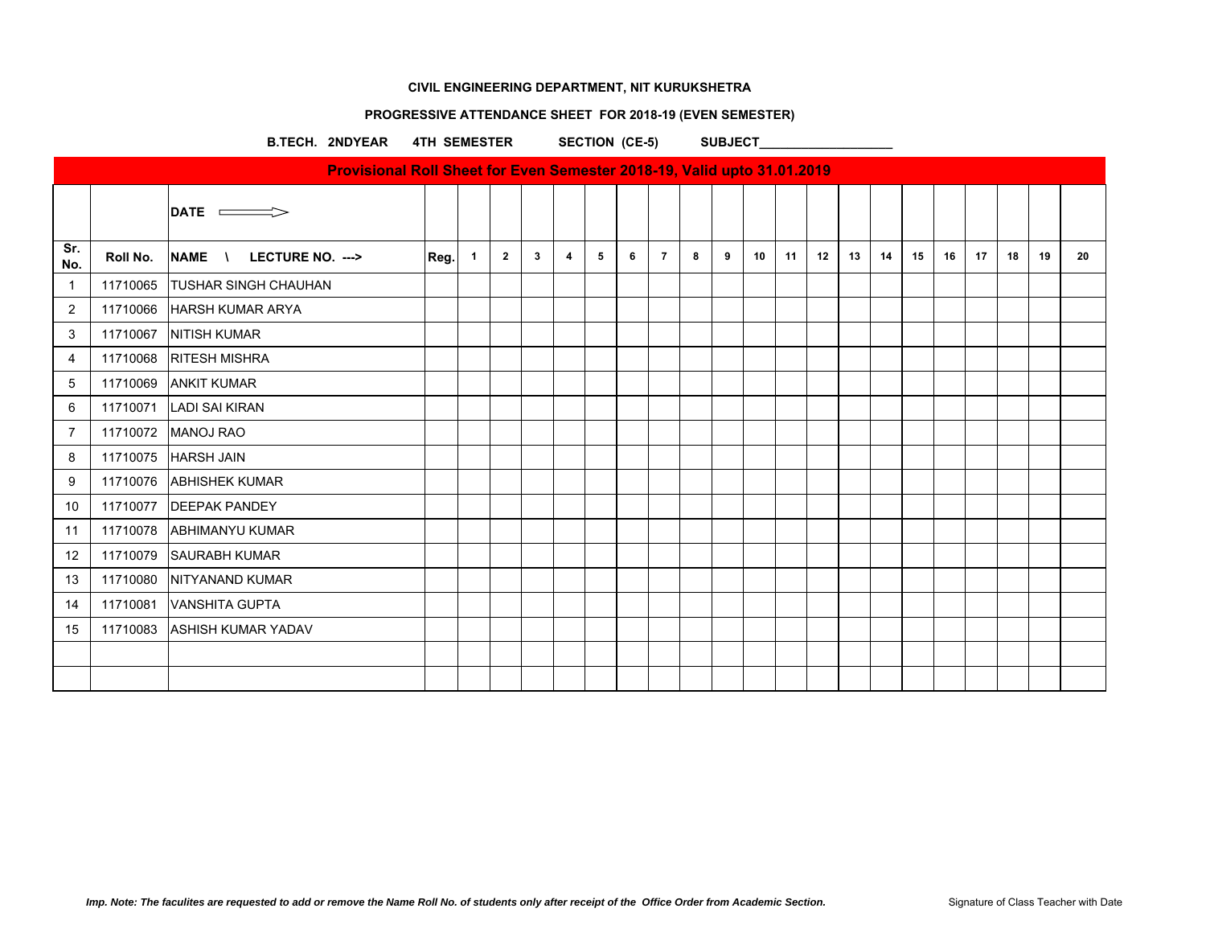## **PROGRESSIVE ATTENDANCE SHEET FOR 2018-19 (EVEN SEMESTER)**

B.TECH. 2NDYEAR 4TH SEMESTER SECTION (CE-5) SUBJECT

|                |          | $ $ DATE $\implies$         |      |              |                |              |   |   |   |                |   |   |    |    |    |    |    |    |    |    |    |    |    |
|----------------|----------|-----------------------------|------|--------------|----------------|--------------|---|---|---|----------------|---|---|----|----|----|----|----|----|----|----|----|----|----|
| Sr.<br>No.     | Roll No. | NAME \<br>LECTURE NO. --->  | Reg. | $\mathbf{1}$ | $\overline{2}$ | $\mathbf{3}$ | 4 | 5 | 6 | $\overline{7}$ | 8 | 9 | 10 | 11 | 12 | 13 | 14 | 15 | 16 | 17 | 18 | 19 | 20 |
| -1             | 11710065 | <b>TUSHAR SINGH CHAUHAN</b> |      |              |                |              |   |   |   |                |   |   |    |    |    |    |    |    |    |    |    |    |    |
| $\overline{2}$ | 11710066 | <b>HARSH KUMAR ARYA</b>     |      |              |                |              |   |   |   |                |   |   |    |    |    |    |    |    |    |    |    |    |    |
| 3              | 11710067 | <b>NITISH KUMAR</b>         |      |              |                |              |   |   |   |                |   |   |    |    |    |    |    |    |    |    |    |    |    |
| 4              | 11710068 | <b>RITESH MISHRA</b>        |      |              |                |              |   |   |   |                |   |   |    |    |    |    |    |    |    |    |    |    |    |
| 5              | 11710069 | <b>ANKIT KUMAR</b>          |      |              |                |              |   |   |   |                |   |   |    |    |    |    |    |    |    |    |    |    |    |
| 6              | 11710071 | <b>LADI SAI KIRAN</b>       |      |              |                |              |   |   |   |                |   |   |    |    |    |    |    |    |    |    |    |    |    |
| $\overline{7}$ | 11710072 | <b>MANOJ RAO</b>            |      |              |                |              |   |   |   |                |   |   |    |    |    |    |    |    |    |    |    |    |    |
| 8              | 11710075 | <b>HARSH JAIN</b>           |      |              |                |              |   |   |   |                |   |   |    |    |    |    |    |    |    |    |    |    |    |
| 9              | 11710076 | <b>ABHISHEK KUMAR</b>       |      |              |                |              |   |   |   |                |   |   |    |    |    |    |    |    |    |    |    |    |    |
| 10             | 11710077 | <b>DEEPAK PANDEY</b>        |      |              |                |              |   |   |   |                |   |   |    |    |    |    |    |    |    |    |    |    |    |
| 11             | 11710078 | <b>ABHIMANYU KUMAR</b>      |      |              |                |              |   |   |   |                |   |   |    |    |    |    |    |    |    |    |    |    |    |
| 12             | 11710079 | <b>SAURABH KUMAR</b>        |      |              |                |              |   |   |   |                |   |   |    |    |    |    |    |    |    |    |    |    |    |
| 13             | 11710080 | NITYANAND KUMAR             |      |              |                |              |   |   |   |                |   |   |    |    |    |    |    |    |    |    |    |    |    |
| 14             | 11710081 | <b>VANSHITA GUPTA</b>       |      |              |                |              |   |   |   |                |   |   |    |    |    |    |    |    |    |    |    |    |    |
| 15             | 11710083 | <b>ASHISH KUMAR YADAV</b>   |      |              |                |              |   |   |   |                |   |   |    |    |    |    |    |    |    |    |    |    |    |
|                |          |                             |      |              |                |              |   |   |   |                |   |   |    |    |    |    |    |    |    |    |    |    |    |
|                |          |                             |      |              |                |              |   |   |   |                |   |   |    |    |    |    |    |    |    |    |    |    |    |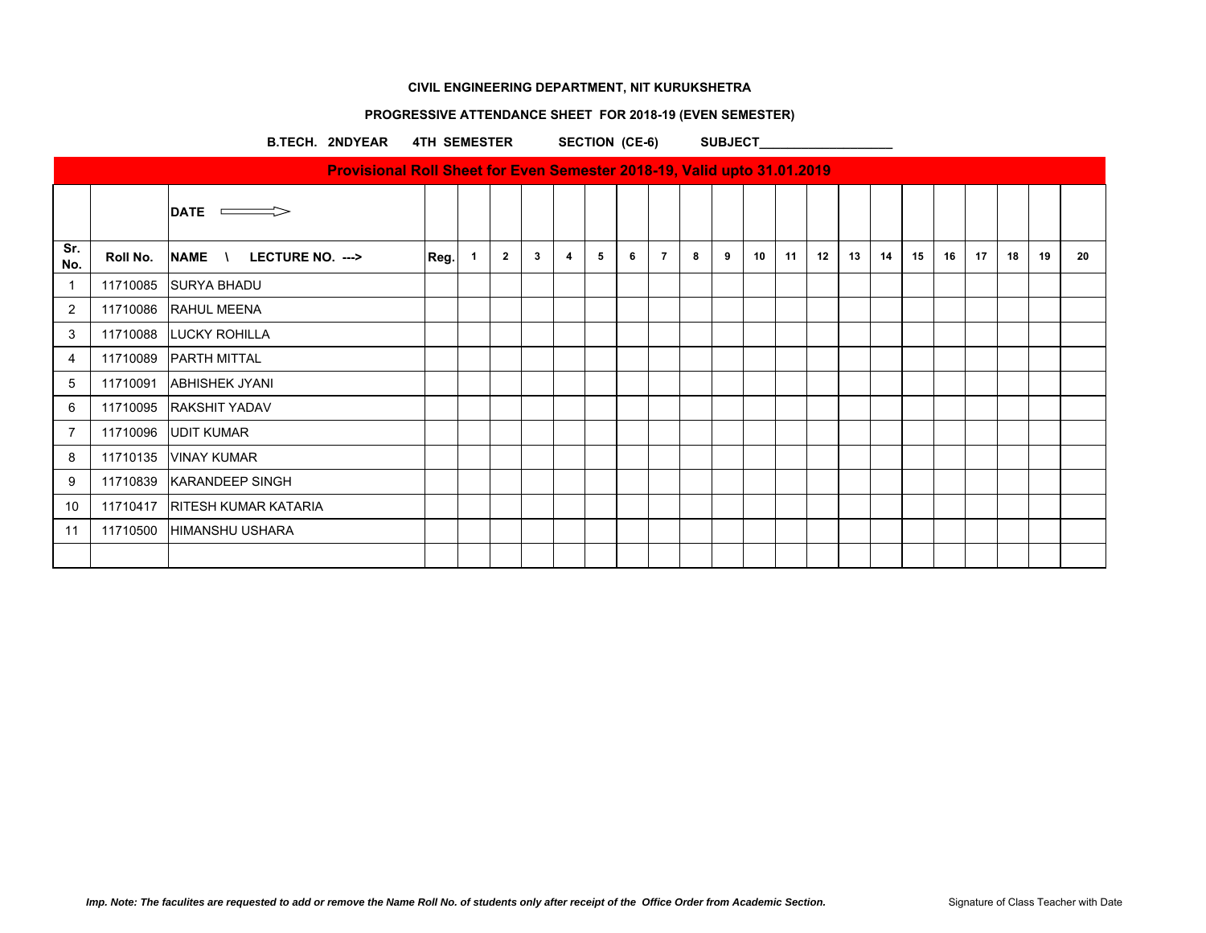## **PROGRESSIVE ATTENDANCE SHEET FOR 2018-19 (EVEN SEMESTER)**

B.TECH. 2NDYEAR 4TH SEMESTER SECTION (CE-6) SUBJECT

|                |          | DATE <b>CONTROL</b>             |      |              |                |              |   |   |   |                |   |   |    |    |    |    |    |    |    |    |    |    |    |
|----------------|----------|---------------------------------|------|--------------|----------------|--------------|---|---|---|----------------|---|---|----|----|----|----|----|----|----|----|----|----|----|
| Sr.<br>No.     | Roll No. | NAME \ LECTURE NO. --->         | Reg. | $\mathbf{1}$ | $\overline{2}$ | $\mathbf{3}$ | 4 | 5 | 6 | $\overline{7}$ | 8 | 9 | 10 | 11 | 12 | 13 | 14 | 15 | 16 | 17 | 18 | 19 | 20 |
| $\overline{1}$ | 11710085 | <b>SURYA BHADU</b>              |      |              |                |              |   |   |   |                |   |   |    |    |    |    |    |    |    |    |    |    |    |
| $\overline{2}$ |          | 11710086 RAHUL MEENA            |      |              |                |              |   |   |   |                |   |   |    |    |    |    |    |    |    |    |    |    |    |
| 3              |          | 11710088 LUCKY ROHILLA          |      |              |                |              |   |   |   |                |   |   |    |    |    |    |    |    |    |    |    |    |    |
| $\overline{4}$ | 11710089 | <b>PARTH MITTAL</b>             |      |              |                |              |   |   |   |                |   |   |    |    |    |    |    |    |    |    |    |    |    |
| 5              |          | 11710091 ABHISHEK JYANI         |      |              |                |              |   |   |   |                |   |   |    |    |    |    |    |    |    |    |    |    |    |
| 6              |          | 11710095 RAKSHIT YADAV          |      |              |                |              |   |   |   |                |   |   |    |    |    |    |    |    |    |    |    |    |    |
| $\overline{7}$ |          | 11710096 UDIT KUMAR             |      |              |                |              |   |   |   |                |   |   |    |    |    |    |    |    |    |    |    |    |    |
| 8              |          | 11710135   VINAY KUMAR          |      |              |                |              |   |   |   |                |   |   |    |    |    |    |    |    |    |    |    |    |    |
| 9              | 11710839 | KARANDEEP SINGH                 |      |              |                |              |   |   |   |                |   |   |    |    |    |    |    |    |    |    |    |    |    |
| 10             |          | 11710417   RITESH KUMAR KATARIA |      |              |                |              |   |   |   |                |   |   |    |    |    |    |    |    |    |    |    |    |    |
| 11             |          | 11710500 HIMANSHU USHARA        |      |              |                |              |   |   |   |                |   |   |    |    |    |    |    |    |    |    |    |    |    |
|                |          |                                 |      |              |                |              |   |   |   |                |   |   |    |    |    |    |    |    |    |    |    |    |    |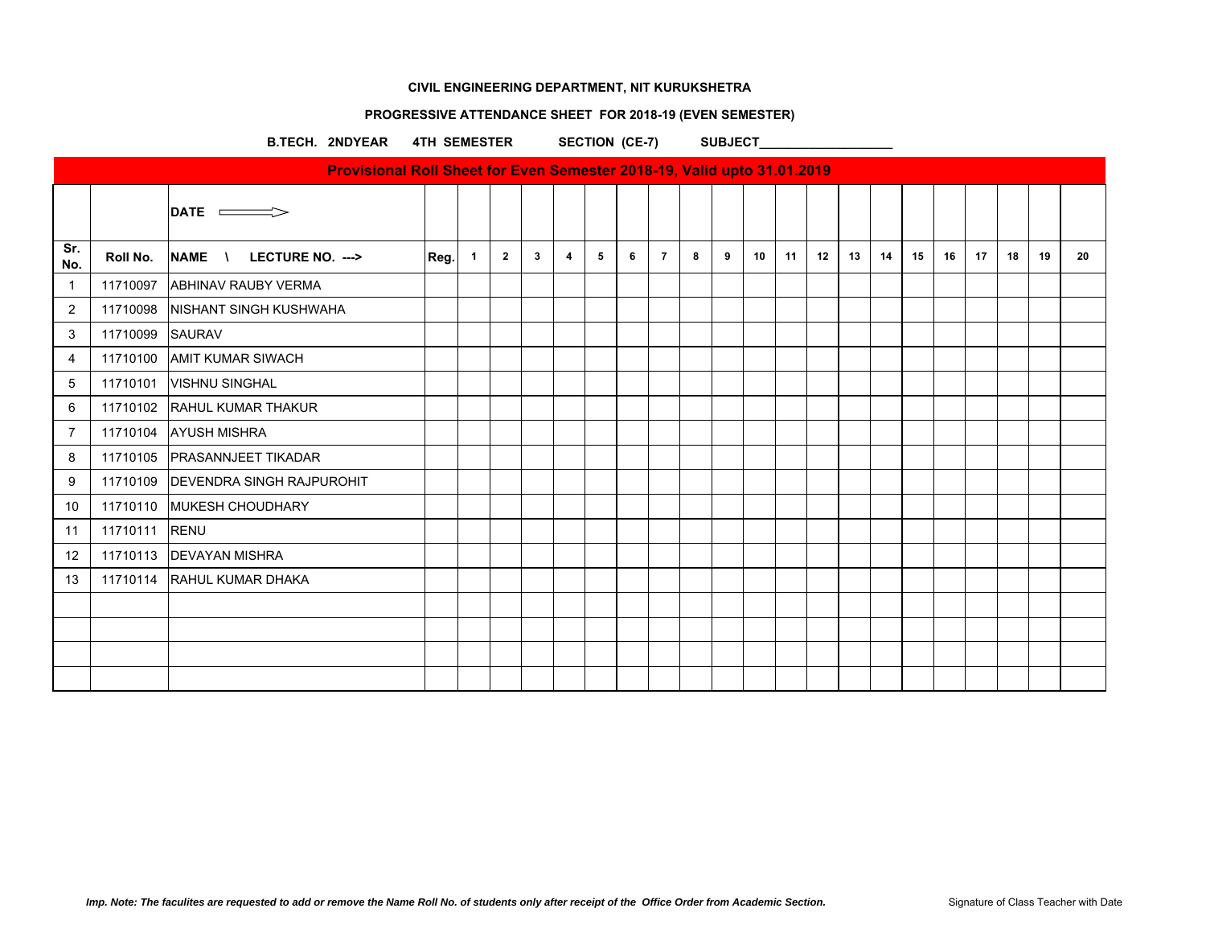## **PROGRESSIVE ATTENDANCE SHEET FOR 2018-19 (EVEN SEMESTER)**

B.TECH. 2NDYEAR 4TH SEMESTER SECTION (CE-7) SUBJECT

|                |          | $ $ DATE $\implies$              |      |              |                |              |   |   |   |                |   |   |    |    |    |    |    |    |    |    |    |    |    |
|----------------|----------|----------------------------------|------|--------------|----------------|--------------|---|---|---|----------------|---|---|----|----|----|----|----|----|----|----|----|----|----|
| Sr.<br>No.     | Roll No. | NAME \<br>LECTURE NO. --->       | Reg. | $\mathbf{1}$ | $\overline{2}$ | $\mathbf{3}$ | 4 | 5 | 6 | $\overline{7}$ | 8 | 9 | 10 | 11 | 12 | 13 | 14 | 15 | 16 | 17 | 18 | 19 | 20 |
| -1             | 11710097 | <b>ABHINAV RAUBY VERMA</b>       |      |              |                |              |   |   |   |                |   |   |    |    |    |    |    |    |    |    |    |    |    |
| $\overline{2}$ | 11710098 | NISHANT SINGH KUSHWAHA           |      |              |                |              |   |   |   |                |   |   |    |    |    |    |    |    |    |    |    |    |    |
| 3              | 11710099 | <b>SAURAV</b>                    |      |              |                |              |   |   |   |                |   |   |    |    |    |    |    |    |    |    |    |    |    |
| 4              | 11710100 | <b>AMIT KUMAR SIWACH</b>         |      |              |                |              |   |   |   |                |   |   |    |    |    |    |    |    |    |    |    |    |    |
| 5              | 11710101 | <b>VISHNU SINGHAL</b>            |      |              |                |              |   |   |   |                |   |   |    |    |    |    |    |    |    |    |    |    |    |
| 6              | 11710102 | RAHUL KUMAR THAKUR               |      |              |                |              |   |   |   |                |   |   |    |    |    |    |    |    |    |    |    |    |    |
| $\overline{7}$ | 11710104 | <b>AYUSH MISHRA</b>              |      |              |                |              |   |   |   |                |   |   |    |    |    |    |    |    |    |    |    |    |    |
| 8              | 11710105 | <b>PRASANNJEET TIKADAR</b>       |      |              |                |              |   |   |   |                |   |   |    |    |    |    |    |    |    |    |    |    |    |
| 9              | 11710109 | <b>DEVENDRA SINGH RAJPUROHIT</b> |      |              |                |              |   |   |   |                |   |   |    |    |    |    |    |    |    |    |    |    |    |
| 10             |          | 11710110 MUKESH CHOUDHARY        |      |              |                |              |   |   |   |                |   |   |    |    |    |    |    |    |    |    |    |    |    |
| 11             | 11710111 | RENU                             |      |              |                |              |   |   |   |                |   |   |    |    |    |    |    |    |    |    |    |    |    |
| 12             | 11710113 | <b>DEVAYAN MISHRA</b>            |      |              |                |              |   |   |   |                |   |   |    |    |    |    |    |    |    |    |    |    |    |
| 13             |          | 11710114 RAHUL KUMAR DHAKA       |      |              |                |              |   |   |   |                |   |   |    |    |    |    |    |    |    |    |    |    |    |
|                |          |                                  |      |              |                |              |   |   |   |                |   |   |    |    |    |    |    |    |    |    |    |    |    |
|                |          |                                  |      |              |                |              |   |   |   |                |   |   |    |    |    |    |    |    |    |    |    |    |    |
|                |          |                                  |      |              |                |              |   |   |   |                |   |   |    |    |    |    |    |    |    |    |    |    |    |
|                |          |                                  |      |              |                |              |   |   |   |                |   |   |    |    |    |    |    |    |    |    |    |    |    |